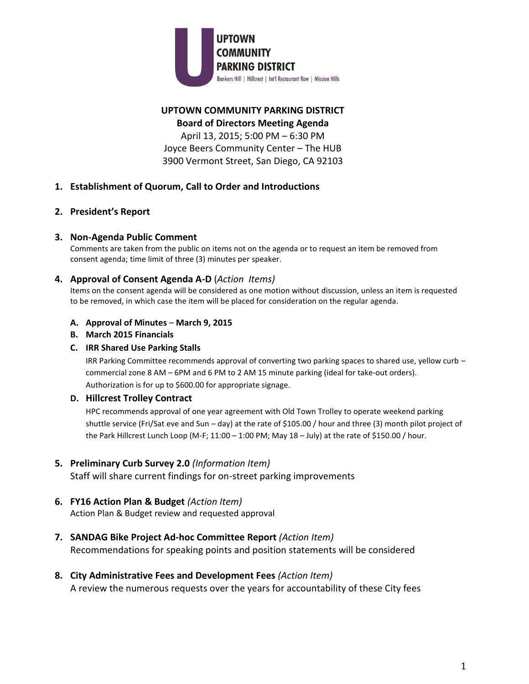

# **UPTOWN COMMUNITY PARKING DISTRICT Board of Directors Meeting Agenda**

April 13, 2015; 5:00 PM – 6:30 PM Joyce Beers Community Center – The HUB 3900 Vermont Street, San Diego, CA 92103

# **1. Establishment of Quorum, Call to Order and Introductions**

# **2. President's Report**

### **3. Non-Agenda Public Comment**

Comments are taken from the public on items not on the agenda or to request an item be removed from consent agenda; time limit of three (3) minutes per speaker.

#### **4. Approval of Consent Agenda A-D** (*Action Items)*

Items on the consent agenda will be considered as one motion without discussion, unless an item is requested to be removed, in which case the item will be placed for consideration on the regular agenda.

#### **A. Approval of Minutes** – **March 9, 2015**

**B. March 2015 Financials**

#### **C. IRR Shared Use Parking Stalls**

IRR Parking Committee recommends approval of converting two parking spaces to shared use, yellow curb – commercial zone 8 AM – 6PM and 6 PM to 2 AM 15 minute parking (ideal for take-out orders). Authorization is for up to \$600.00 for appropriate signage.

#### **D. Hillcrest Trolley Contract**

HPC recommends approval of one year agreement with Old Town Trolley to operate weekend parking shuttle service (Fri/Sat eve and Sun – day) at the rate of \$105.00 / hour and three (3) month pilot project of the Park Hillcrest Lunch Loop (M-F; 11:00 - 1:00 PM; May 18 - July) at the rate of \$150.00 / hour.

#### **5. Preliminary Curb Survey 2.0** *(Information Item)*

Staff will share current findings for on-street parking improvements

#### **6. FY16 Action Plan & Budget** *(Action Item)*

Action Plan & Budget review and requested approval

# **7. SANDAG Bike Project Ad-hoc Committee Report** *(Action Item)*

Recommendations for speaking points and position statements will be considered

# **8. City Administrative Fees and Development Fees** *(Action Item)*

A review the numerous requests over the years for accountability of these City fees